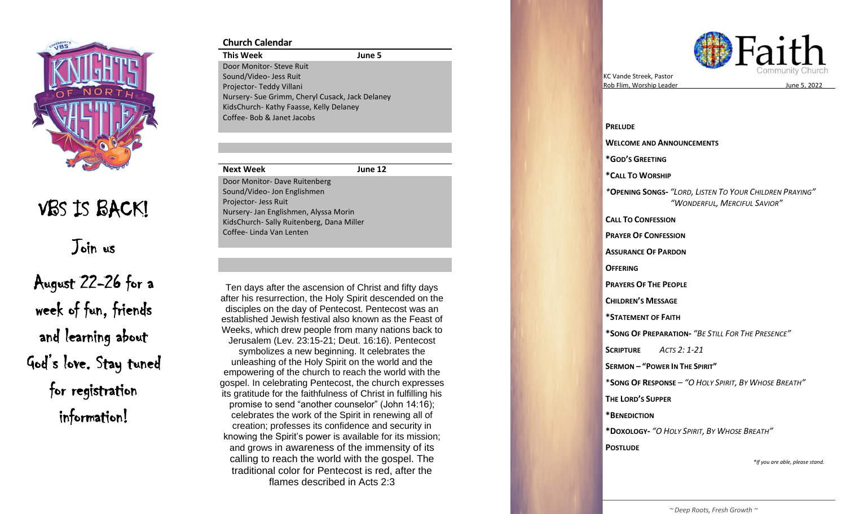

# VBS IS BACK!

Join us

August 22 -26 for a week of fun, friends and learning about God's love. Stay tuned for registration information!

## **Church Calendar**

**This Week June 5** Door Monitor - Steve Ruit Sound/Video - Jess Ruit Projector- Teddy Villani Nursery - Sue Grimm, Cheryl Cusack, Jack Delaney KidsChurch - Kathy Faasse, Kelly Delaney Coffee - Bob & Janet Jacobs

## **Next Week June 12**

Door Monitor - Dave Ruitenberg Sound/Video - Jon Englishmen Projector- Jess Ruit Nursery - Jan Englishmen, Alyssa Morin KidsChurch - Sally Ruitenberg, Dana Miller Coffee - Linda Van Lenten

Ten days after the ascension of Christ and fifty days established Jewish festival also known as the Feast of Jerusalem (Lev. 23:15-21; Deut. 16:16). Pentecost empowering of the church to reach the world with the its gratitude for the faithfulness of Christ in fulfilling his creation; professes its confidence and security in calling to reach the world with the gospel. The after his resurrection, the Holy Spirit descended on the disciples on the day of Pentecost. Pentecost was an Weeks, which drew people from many nations back to symbolizes a new beginning. It celebrates the unleashing of the Holy Spirit on the world and the gospel. In celebrating Pentecost, the church expresses promise to send "another counselor" (John 14:16); celebrates the work of the Spirit in renewing all of knowing the Spirit's power is available for its mission; and grows in awareness of the immensity of its traditional color for Pentecost is red, after the flames described in Acts 2:3



KC Vande Streek , Pastor Rob Flim, Worship Leader

, 202 2

**PRELUDE WELCOME AND ANNOUNCEMENTS \*GOD 'S GREETING \* CALL TO WORSHIP**  *\** **OPENING SONG S -** *"LORD, LISTEN TO YOUR CHILDREN PRAYING " "WONDERFUL, MERCIFUL SAVIOR "* **CALL TO CONFESSION PRAYER OF CONFESSION ASSURANCE OF PARDON OFFERING PRAYERS OF THE PEOPLE CHILDREN 'S MESSAGE \*STATEMENT OF FAITH \*SONG OF PREPARATION -** *"BE STILL FOR THE PRESENCE "* **SCRIPTURE**  *ACTS 2: 1 -21* **SERMON – " POWER IN THE SPIRIT "** \* **SONG OF RESPONSE** – *"O HOLY SPIRIT, BY WHOSE BREATH "* **THE LORD 'S SUPPER \*BENEDICTION \*DOXOLOGY -** *"O HOLY SPIRIT, BY WHOSE BREATH "* **POSTLUDE** *\*If you are able, please stand.*